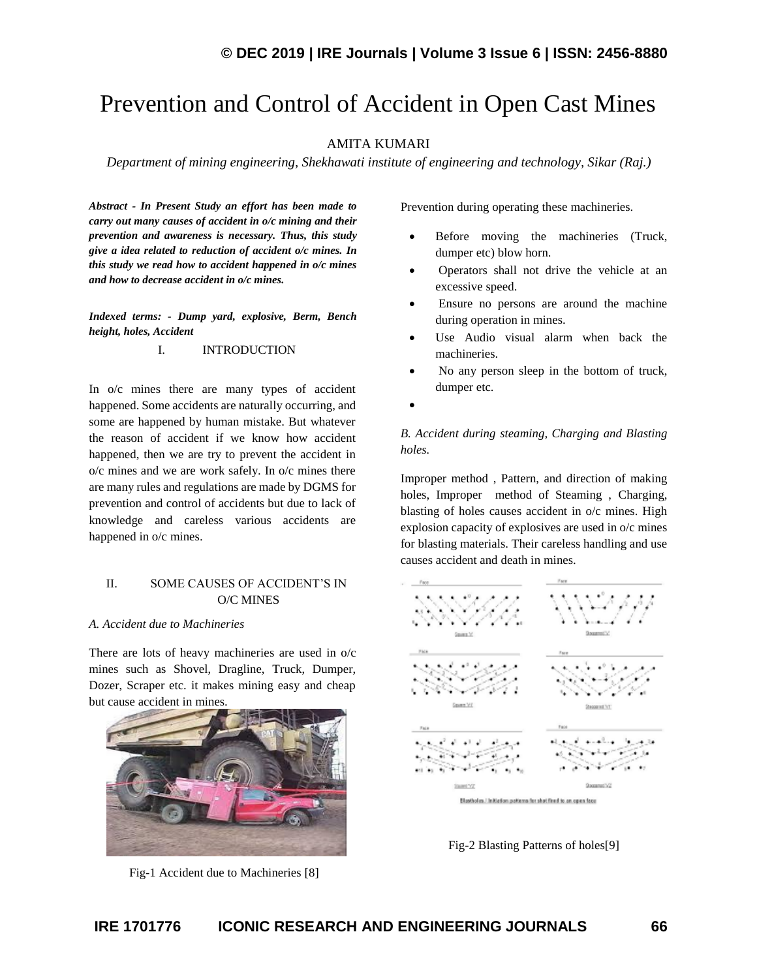# Prevention and Control of Accident in Open Cast Mines

## AMITA KUMARI

*Department of mining engineering, Shekhawati institute of engineering and technology, Sikar (Raj.)*

*Abstract - In Present Study an effort has been made to carry out many causes of accident in o/c mining and their prevention and awareness is necessary. Thus, this study give a idea related to reduction of accident o/c mines. In this study we read how to accident happened in o/c mines and how to decrease accident in o/c mines.*

*Indexed terms: - Dump yard, explosive, Berm, Bench height, holes, Accident*

#### I. INTRODUCTION

In o/c mines there are many types of accident happened. Some accidents are naturally occurring, and some are happened by human mistake. But whatever the reason of accident if we know how accident happened, then we are try to prevent the accident in o/c mines and we are work safely. In o/c mines there are many rules and regulations are made by DGMS for prevention and control of accidents but due to lack of knowledge and careless various accidents are happened in o/c mines.

#### II. SOME CAUSES OF ACCIDENT'S IN O/C MINES

#### *A. Accident due to Machineries*

There are lots of heavy machineries are used in o/c mines such as Shovel, Dragline, Truck, Dumper, Dozer, Scraper etc. it makes mining easy and cheap but cause accident in mines.



Fig-1 Accident due to Machineries [8]

Prevention during operating these machineries.

- Before moving the machineries (Truck, dumper etc) blow horn.
- Operators shall not drive the vehicle at an excessive speed.
- Ensure no persons are around the machine during operation in mines.
- Use Audio visual alarm when back the machineries.
- No any person sleep in the bottom of truck, dumper etc.
- •

*B. Accident during steaming, Charging and Blasting holes.* 

Improper method , Pattern, and direction of making holes, Improper method of Steaming , Charging, blasting of holes causes accident in o/c mines. High explosion capacity of explosives are used in o/c mines for blasting materials. Their careless handling and use causes accident and death in mines.



Fig-2 Blasting Patterns of holes[9]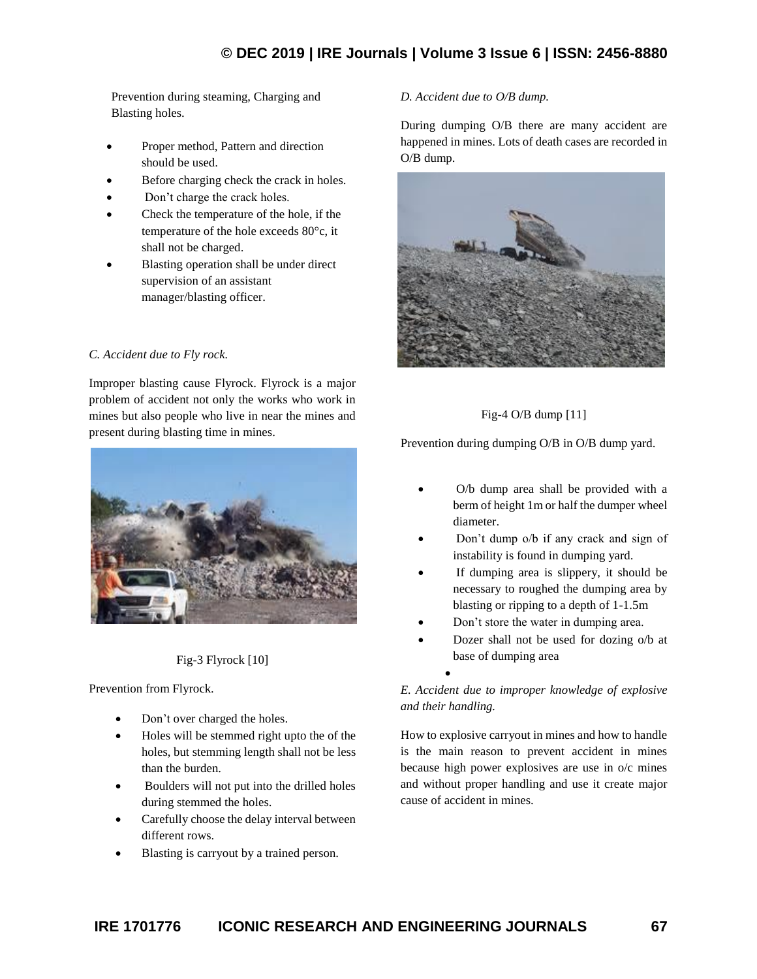# **© DEC 2019 | IRE Journals | Volume 3 Issue 6 | ISSN: 2456-8880**

Prevention during steaming, Charging and Blasting holes.

- Proper method, Pattern and direction should be used.
- Before charging check the crack in holes.
- Don't charge the crack holes.
- Check the temperature of the hole, if the temperature of the hole exceeds 80°c, it shall not be charged.
- Blasting operation shall be under direct supervision of an assistant manager/blasting officer.

#### *C. Accident due to Fly rock.*

Improper blasting cause Flyrock. Flyrock is a major problem of accident not only the works who work in mines but also people who live in near the mines and present during blasting time in mines.



#### Fig-3 Flyrock [10]

Prevention from Flyrock.

- Don't over charged the holes.
- Holes will be stemmed right upto the of the holes, but stemming length shall not be less than the burden.
- Boulders will not put into the drilled holes during stemmed the holes.
- Carefully choose the delay interval between different rows.
- Blasting is carryout by a trained person.

#### *D. Accident due to O/B dump.*

During dumping O/B there are many accident are happened in mines. Lots of death cases are recorded in O/B dump.



## Fig-4 O/B dump [11]

Prevention during dumping O/B in O/B dump yard*.*

- O/b dump area shall be provided with a berm of height 1m or half the dumper wheel diameter.
- Don't dump o/b if any crack and sign of instability is found in dumping yard.
- If dumping area is slippery, it should be necessary to roughed the dumping area by blasting or ripping to a depth of 1-1.5m
- Don't store the water in dumping area.
- Dozer shall not be used for dozing o/b at base of dumping area

## *E. Accident due to improper knowledge of explosive and their handling.*

•

How to explosive carryout in mines and how to handle is the main reason to prevent accident in mines because high power explosives are use in o/c mines and without proper handling and use it create major cause of accident in mines.